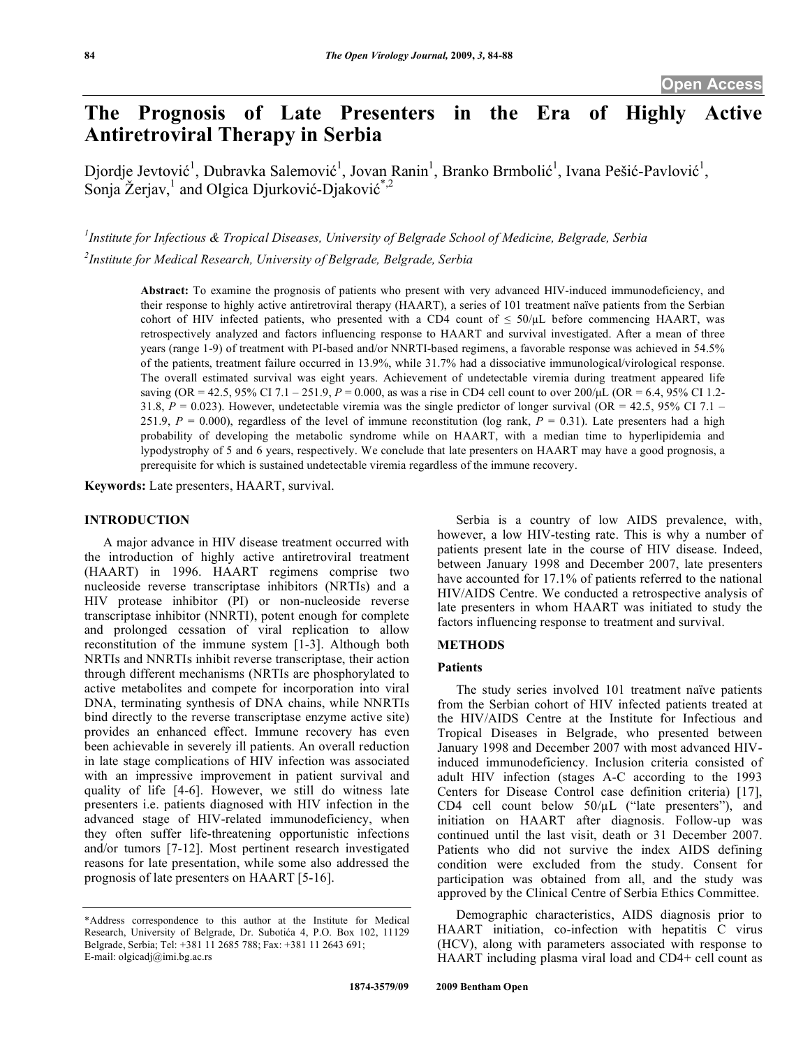# **The Prognosis of Late Presenters in the Era of Highly Active Antiretroviral Therapy in Serbia**

Djordje Jevtović<sup>1</sup>, Dubravka Salemović<sup>1</sup>, Jovan Ranin<sup>1</sup>, Branko Brmbolić<sup>1</sup>, Ivana Pešić-Pavlović<sup>1</sup>, Sonja Žerjav,<sup>1</sup> and Olgica Djurković-Djaković<sup>\*,2</sup>

*1 Institute for Infectious & Tropical Diseases, University of Belgrade School of Medicine, Belgrade, Serbia 2 Institute for Medical Research, University of Belgrade, Belgrade, Serbia* 

**Abstract:** To examine the prognosis of patients who present with very advanced HIV-induced immunodeficiency, and their response to highly active antiretroviral therapy (HAART), a series of 101 treatment naïve patients from the Serbian cohort of HIV infected patients, who presented with a CD4 count of  $\leq 50/\mu$ L before commencing HAART, was retrospectively analyzed and factors influencing response to HAART and survival investigated. After a mean of three years (range 1-9) of treatment with PI-based and/or NNRTI-based regimens, a favorable response was achieved in 54.5% of the patients, treatment failure occurred in 13.9%, while 31.7% had a dissociative immunological/virological response. The overall estimated survival was eight years. Achievement of undetectable viremia during treatment appeared life saving (OR = 42.5, 95% CI 7.1 – 251.9,  $P = 0.000$ , as was a rise in CD4 cell count to over 200/µL (OR = 6.4, 95% CI 1.2-31.8,  $P = 0.023$ ). However, undetectable viremia was the single predictor of longer survival (OR = 42.5, 95% CI 7.1 – 251.9,  $P = 0.000$ ), regardless of the level of immune reconstitution (log rank,  $P = 0.31$ ). Late presenters had a high probability of developing the metabolic syndrome while on HAART, with a median time to hyperlipidemia and lypodystrophy of 5 and 6 years, respectively. We conclude that late presenters on HAART may have a good prognosis, a prerequisite for which is sustained undetectable viremia regardless of the immune recovery.

**Keywords:** Late presenters, HAART, survival.

#### **INTRODUCTION**

 A major advance in HIV disease treatment occurred with the introduction of highly active antiretroviral treatment (HAART) in 1996. HAART regimens comprise two nucleoside reverse transcriptase inhibitors (NRTIs) and a HIV protease inhibitor (PI) or non-nucleoside reverse transcriptase inhibitor (NNRTI), potent enough for complete and prolonged cessation of viral replication to allow reconstitution of the immune system [1-3]. Although both NRTIs and NNRTIs inhibit reverse transcriptase, their action through different mechanisms (NRTIs are phosphorylated to active metabolites and compete for incorporation into viral DNA, terminating synthesis of DNA chains, while NNRTIs bind directly to the reverse transcriptase enzyme active site) provides an enhanced effect. Immune recovery has even been achievable in severely ill patients. An overall reduction in late stage complications of HIV infection was associated with an impressive improvement in patient survival and quality of life [4-6]. However, we still do witness late presenters i.e. patients diagnosed with HIV infection in the advanced stage of HIV-related immunodeficiency, when they often suffer life-threatening opportunistic infections and/or tumors [7-12]. Most pertinent research investigated reasons for late presentation, while some also addressed the prognosis of late presenters on HAART [5-16].

 Serbia is a country of low AIDS prevalence, with, however, a low HIV-testing rate. This is why a number of patients present late in the course of HIV disease. Indeed, between January 1998 and December 2007, late presenters have accounted for 17.1% of patients referred to the national HIV/AIDS Centre. We conducted a retrospective analysis of late presenters in whom HAART was initiated to study the factors influencing response to treatment and survival.

### **METHODS**

# **Patients**

 The study series involved 101 treatment naïve patients from the Serbian cohort of HIV infected patients treated at the HIV/AIDS Centre at the Institute for Infectious and Tropical Diseases in Belgrade, who presented between January 1998 and December 2007 with most advanced HIVinduced immunodeficiency. Inclusion criteria consisted of adult HIV infection (stages A-C according to the 1993 Centers for Disease Control case definition criteria) [17], CD4 cell count below  $50/\mu$ L ("late presenters"), and initiation on HAART after diagnosis. Follow-up was continued until the last visit, death or 31 December 2007. Patients who did not survive the index AIDS defining condition were excluded from the study. Consent for participation was obtained from all, and the study was approved by the Clinical Centre of Serbia Ethics Committee.

 Demographic characteristics, AIDS diagnosis prior to HAART initiation, co-infection with hepatitis C virus (HCV), along with parameters associated with response to HAART including plasma viral load and CD4+ cell count as

<sup>\*</sup>Address correspondence to this author at the Institute for Medical Research, University of Belgrade, Dr. Suboti a 4, P.O. Box 102, 11129 Belgrade, Serbia; Tel: +381 11 2685 788; Fax: +381 11 2643 691; E-mail: olgicadj@imi.bg.ac.rs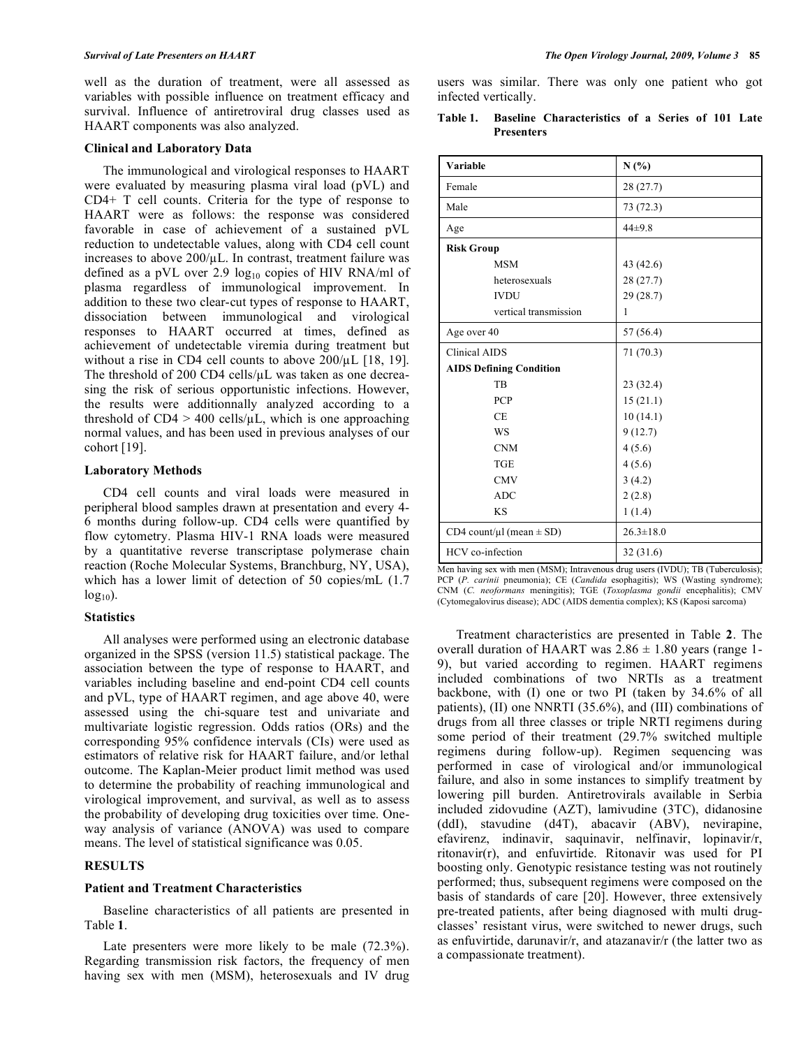well as the duration of treatment, were all assessed as variables with possible influence on treatment efficacy and survival. Influence of antiretroviral drug classes used as HAART components was also analyzed.

#### **Clinical and Laboratory Data**

 The immunological and virological responses to HAART were evaluated by measuring plasma viral load (pVL) and CD4+ T cell counts. Criteria for the type of response to HAART were as follows: the response was considered favorable in case of achievement of a sustained pVL reduction to undetectable values, along with CD4 cell count increases to above  $200/\mu$ L. In contrast, treatment failure was defined as a pVL over 2.9  $log_{10}$  copies of HIV RNA/ml of plasma regardless of immunological improvement. In addition to these two clear-cut types of response to HAART, dissociation between immunological and virological responses to HAART occurred at times, defined as achievement of undetectable viremia during treatment but without a rise in CD4 cell counts to above  $200/\mu$ L [18, 19]. The threshold of 200 CD4 cells/ $\mu$ L was taken as one decreasing the risk of serious opportunistic infections. However, the results were additionnally analyzed according to a threshold of  $CD4 > 400$  cells/ $\mu$ L, which is one approaching normal values, and has been used in previous analyses of our cohort  $[19]$ .

### **Laboratory Methods**

 CD4 cell counts and viral loads were measured in peripheral blood samples drawn at presentation and every 4- 6 months during follow-up. CD4 cells were quantified by flow cytometry. Plasma HIV-1 RNA loads were measured by a quantitative reverse transcriptase polymerase chain reaction (Roche Molecular Systems, Branchburg, NY, USA), which has a lower limit of detection of 50 copies/mL (1.7  $log_{10}$ ).

# **Statistics**

 All analyses were performed using an electronic database organized in the SPSS (version 11.5) statistical package. The association between the type of response to HAART, and variables including baseline and end-point CD4 cell counts and pVL, type of HAART regimen, and age above 40, were assessed using the chi-square test and univariate and multivariate logistic regression. Odds ratios (ORs) and the corresponding 95% confidence intervals (CIs) were used as estimators of relative risk for HAART failure, and/or lethal outcome. The Kaplan-Meier product limit method was used to determine the probability of reaching immunological and virological improvement, and survival, as well as to assess the probability of developing drug toxicities over time. Oneway analysis of variance (ANOVA) was used to compare means. The level of statistical significance was 0.05.

# **RESULTS**

# **Patient and Treatment Characteristics**

 Baseline characteristics of all patients are presented in Table **1**.

 Late presenters were more likely to be male (72.3%). Regarding transmission risk factors, the frequency of men having sex with men (MSM), heterosexuals and IV drug users was similar. There was only one patient who got infected vertically.

| Table 1. |                   | <b>Baseline Characteristics of a Series of 101 Late</b> |  |  |  |  |  |  |
|----------|-------------------|---------------------------------------------------------|--|--|--|--|--|--|
|          | <b>Presenters</b> |                                                         |  |  |  |  |  |  |

| Variable                           | N(%)                           |  |  |
|------------------------------------|--------------------------------|--|--|
| Female                             | 28(27.7)                       |  |  |
| Male                               | 73 (72.3)                      |  |  |
| Age                                | $44 + 9.8$                     |  |  |
| <b>Risk Group</b>                  |                                |  |  |
| <b>MSM</b>                         | 43 (42.6)                      |  |  |
| heterosexuals                      | 28(27.7)                       |  |  |
| <b>IVDU</b>                        | 29(28.7)                       |  |  |
| vertical transmission              | 1                              |  |  |
| Age over 40                        | 57 (56.4)                      |  |  |
| <b>Clinical AIDS</b>               | 71(70.3)                       |  |  |
| <b>AIDS Defining Condition</b>     |                                |  |  |
| TB                                 | 23(32.4)                       |  |  |
| <b>PCP</b>                         | 15(21.1)                       |  |  |
| <b>CE</b>                          | 10(14.1)                       |  |  |
| WS                                 | 9(12.7)                        |  |  |
| <b>CNM</b>                         | 4(5.6)                         |  |  |
| <b>TGE</b>                         | 4(5.6)                         |  |  |
| <b>CMV</b>                         | 3(4.2)                         |  |  |
| <b>ADC</b>                         | 2(2.8)                         |  |  |
| <b>KS</b>                          | 1(1.4)                         |  |  |
| CD4 count/ $\mu$ l (mean $\pm$ SD) | $26.3 \pm 18.0$                |  |  |
| HCV co-infection                   | 32(31.6)<br>(TUTNTN, TD(T),  , |  |  |

Men having sex with men (MSM); Intravenous drug users (IVDU); TB (Tuberculosis); PCP (*P. carinii* pneumonia); CE (*Candida* esophagitis); WS (Wasting syndrome); CNM (*C. neoformans* meningitis); TGE (*Toxoplasma gondii* encephalitis); CMV (Cytomegalovirus disease); ADC (AIDS dementia complex); KS (Kaposi sarcoma)

 Treatment characteristics are presented in Table **2**. The overall duration of HAART was  $2.86 \pm 1.80$  years (range 1-9), but varied according to regimen. HAART regimens included combinations of two NRTIs as a treatment backbone, with (I) one or two PI (taken by 34.6% of all patients), (II) one NNRTI (35.6%), and (III) combinations of drugs from all three classes or triple NRTI regimens during some period of their treatment (29.7% switched multiple regimens during follow-up). Regimen sequencing was performed in case of virological and/or immunological failure, and also in some instances to simplify treatment by lowering pill burden. Antiretrovirals available in Serbia included zidovudine (AZT), lamivudine (3TC), didanosine (ddI), stavudine (d4T), abacavir (ABV), nevirapine, efavirenz, indinavir, saquinavir, nelfinavir, lopinavir/r, ritonavir(r), and enfuvirtide. Ritonavir was used for PI boosting only. Genotypic resistance testing was not routinely performed; thus, subsequent regimens were composed on the basis of standards of care [20]. However, three extensively pre-treated patients, after being diagnosed with multi drugclasses' resistant virus, were switched to newer drugs, such as enfuvirtide, darunavir/r, and atazanavir/r (the latter two as a compassionate treatment).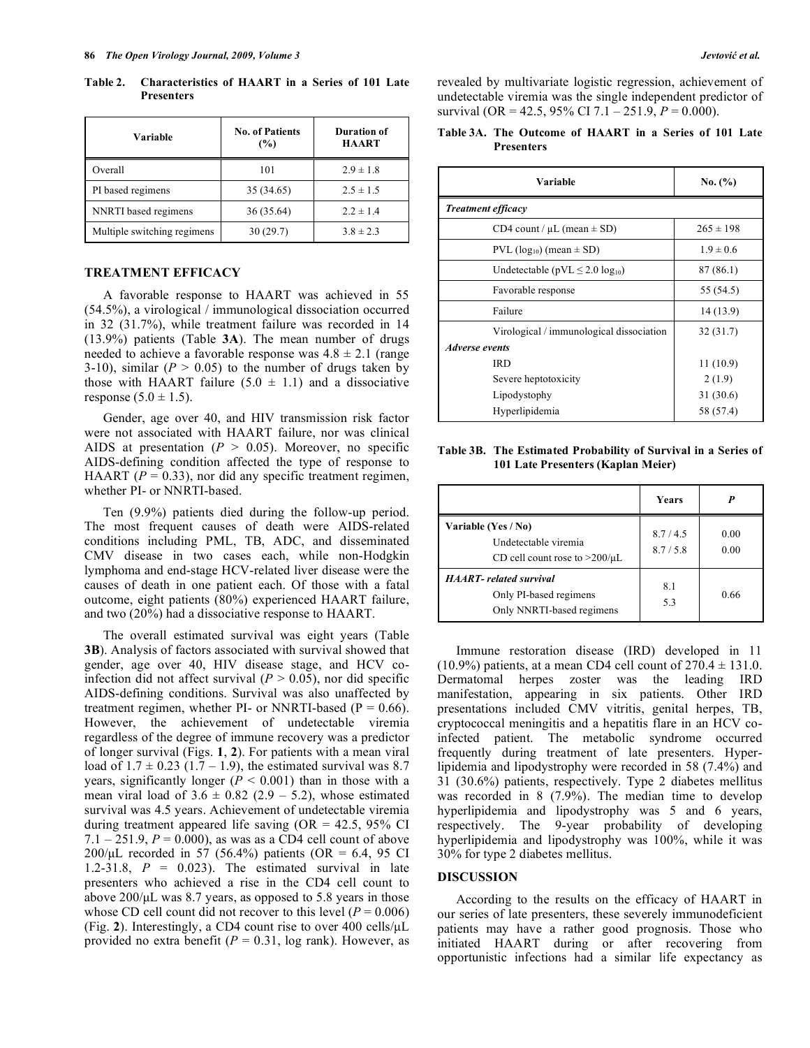**Table 2. Characteristics of HAART in a Series of 101 Late Presenters** 

| Variable                    | <b>No. of Patients</b><br>(%) | Duration of<br><b>HAART</b> |  |  |
|-----------------------------|-------------------------------|-----------------------------|--|--|
| Overall                     | 101                           | $2.9 \pm 1.8$               |  |  |
| PI based regimens           | 35 (34.65)                    | $2.5 \pm 1.5$               |  |  |
| NNRTI based regimens        | 36(35.64)                     | $2.2 \pm 1.4$               |  |  |
| Multiple switching regimens | 30(29.7)                      | $3.8 \pm 2.3$               |  |  |

# **TREATMENT EFFICACY**

 A favorable response to HAART was achieved in 55 (54.5%), a virological / immunological dissociation occurred in 32 (31.7%), while treatment failure was recorded in 14 (13.9%) patients (Table **3A**). The mean number of drugs needed to achieve a favorable response was  $4.8 \pm 2.1$  (range 3-10), similar ( $P > 0.05$ ) to the number of drugs taken by those with HAART failure  $(5.0 \pm 1.1)$  and a dissociative response  $(5.0 \pm 1.5)$ .

 Gender, age over 40, and HIV transmission risk factor were not associated with HAART failure, nor was clinical AIDS at presentation  $(P > 0.05)$ . Moreover, no specific AIDS-defining condition affected the type of response to HAART ( $P = 0.33$ ), nor did any specific treatment regimen, whether PI- or NNRTI-based.

 Ten (9.9%) patients died during the follow-up period. The most frequent causes of death were AIDS-related conditions including PML, TB, ADC, and disseminated CMV disease in two cases each, while non-Hodgkin lymphoma and end-stage HCV-related liver disease were the causes of death in one patient each. Of those with a fatal outcome, eight patients (80%) experienced HAART failure, and two (20%) had a dissociative response to HAART.

 The overall estimated survival was eight years (Table **3B**). Analysis of factors associated with survival showed that gender, age over 40, HIV disease stage, and HCV coinfection did not affect survival  $(P > 0.05)$ , nor did specific AIDS-defining conditions. Survival was also unaffected by treatment regimen, whether PI- or NNRTI-based ( $P = 0.66$ ). However, the achievement of undetectable viremia regardless of the degree of immune recovery was a predictor of longer survival (Figs. **1**, **2**). For patients with a mean viral load of  $1.7 \pm 0.23$  (1.7 – 1.9), the estimated survival was 8.7 years, significantly longer  $(P < 0.001)$  than in those with a mean viral load of  $3.6 \pm 0.82$  (2.9 – 5.2), whose estimated survival was 4.5 years. Achievement of undetectable viremia during treatment appeared life saving  $(OR = 42.5, 95\% \text{ CI})$ 7.1 – 251.9,  $P = 0.000$ , as was as a CD4 cell count of above 200/μL recorded in 57 (56.4%) patients (OR = 6.4, 95 CI 1.2-31.8,  $P = 0.023$ . The estimated survival in late presenters who achieved a rise in the CD4 cell count to above 200/μL was 8.7 years, as opposed to 5.8 years in those whose CD cell count did not recover to this level  $(P = 0.006)$ (Fig. **2**). Interestingly, a CD4 count rise to over 400 cells/μL provided no extra benefit ( $P = 0.31$ , log rank). However, as

revealed by multivariate logistic regression, achievement of undetectable viremia was the single independent predictor of survival (OR = 42.5, 95% CI 7.1 – 251.9, *P* = 0.000).

# **Table 3A. The Outcome of HAART in a Series of 101 Late Presenters**

| Variable                                 | No. (%)       |  |  |  |
|------------------------------------------|---------------|--|--|--|
| <b>Treatment efficacy</b>                |               |  |  |  |
| CD4 count / $\mu$ L (mean $\pm$ SD)      | $265 \pm 198$ |  |  |  |
| PVL ( $log_{10}$ ) (mean $\pm$ SD)       | $1.9 \pm 0.6$ |  |  |  |
| Undetectable ( $pVL \leq 2.0 log_{10}$ ) | 87(86.1)      |  |  |  |
| Favorable response                       | 55 (54.5)     |  |  |  |
| Failure                                  | 14 (13.9)     |  |  |  |
| Virological / immunological dissociation | 32(31.7)      |  |  |  |
| <b>Adverse</b> events                    |               |  |  |  |
| <b>IRD</b>                               | 11(10.9)      |  |  |  |
| Severe heptotoxicity                     | 2(1.9)        |  |  |  |
| Lipodystophy                             | 31(30.6)      |  |  |  |
| Hyperlipidemia                           | 58 (57.4)     |  |  |  |

**Table 3B. The Estimated Probability of Survival in a Series of 101 Late Presenters (Kaplan Meier)** 

|                                                                                       | Years              |              |
|---------------------------------------------------------------------------------------|--------------------|--------------|
| Variable (Yes / No)<br>Undetectable viremia<br>CD cell count rose to $>200/\mu L$     | 8.7/4.5<br>8.7/5.8 | 0.00<br>0.00 |
| <b>HAART-</b> related survival<br>Only PI-based regimens<br>Only NNRTI-based regimens | 8.1<br>5.3         | 0.66         |

 Immune restoration disease (IRD) developed in 11  $(10.9\%)$  patients, at a mean CD4 cell count of  $270.4 \pm 131.0$ . Dermatomal herpes zoster was the leading IRD manifestation, appearing in six patients. Other IRD presentations included CMV vitritis, genital herpes, TB, cryptococcal meningitis and a hepatitis flare in an HCV coinfected patient. The metabolic syndrome occurred frequently during treatment of late presenters. Hyperlipidemia and lipodystrophy were recorded in 58 (7.4%) and 31 (30.6%) patients, respectively. Type 2 diabetes mellitus was recorded in 8 (7.9%). The median time to develop hyperlipidemia and lipodystrophy was 5 and 6 years, respectively. The 9-year probability of developing hyperlipidemia and lipodystrophy was 100%, while it was 30% for type 2 diabetes mellitus.

## **DISCUSSION**

 According to the results on the efficacy of HAART in our series of late presenters, these severely immunodeficient patients may have a rather good prognosis. Those who initiated HAART during or after recovering from opportunistic infections had a similar life expectancy as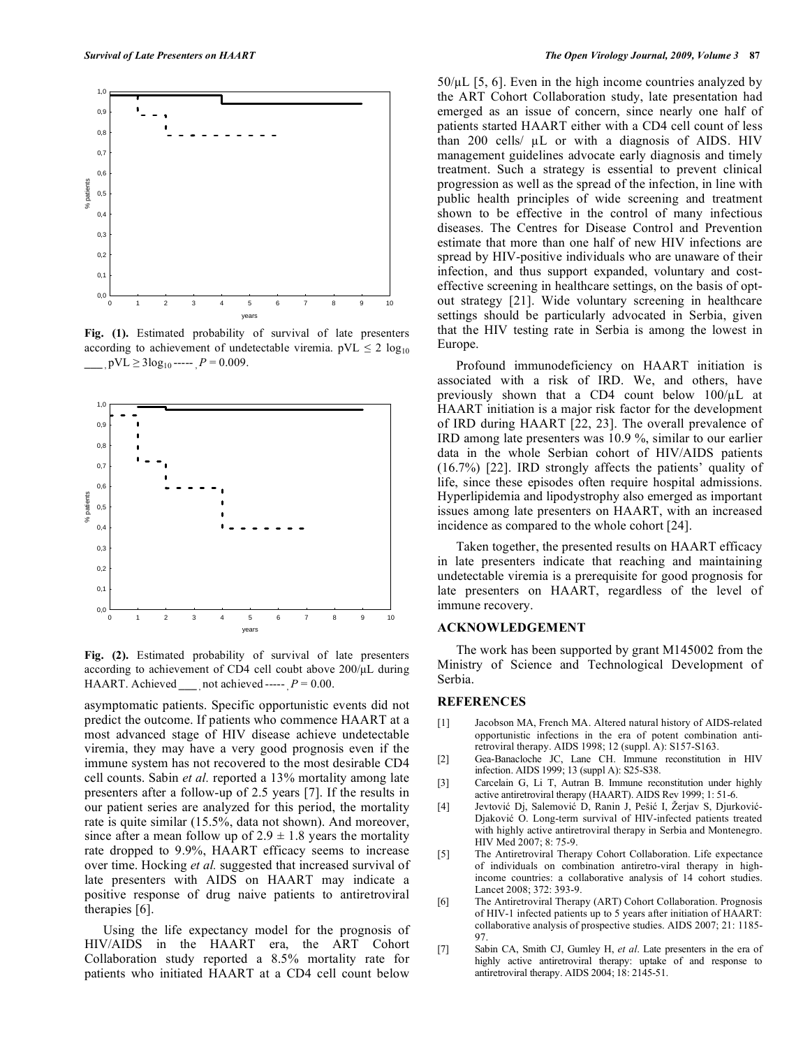

**Fig. (1).** Estimated probability of survival of late presenters according to achievement of undetectable viremia.  $pVL \le 2 log_{10}$  $pVL \geq 3\log_{10}$ -----  $P = 0.009$ .



**Fig. (2).** Estimated probability of survival of late presenters according to achievement of CD4 cell coubt above 200/μL during HAART. Achieved not achieved  $-P = 0.00$ .

asymptomatic patients. Specific opportunistic events did not predict the outcome. If patients who commence HAART at a most advanced stage of HIV disease achieve undetectable viremia, they may have a very good prognosis even if the immune system has not recovered to the most desirable CD4 cell counts. Sabin *et al.* reported a 13% mortality among late presenters after a follow-up of 2.5 years [7]. If the results in our patient series are analyzed for this period, the mortality rate is quite similar (15.5%, data not shown). And moreover, since after a mean follow up of  $2.9 \pm 1.8$  years the mortality rate dropped to 9.9%, HAART efficacy seems to increase over time. Hocking *et al.* suggested that increased survival of late presenters with AIDS on HAART may indicate a positive response of drug naive patients to antiretroviral therapies [6].

 Using the life expectancy model for the prognosis of HIV/AIDS in the HAART era, the ART Cohort Collaboration study reported a 8.5% mortality rate for patients who initiated HAART at a CD4 cell count below

 $50/\mu$  [5, 6]. Even in the high income countries analyzed by the ART Cohort Collaboration study, late presentation had emerged as an issue of concern, since nearly one half of patients started HAART either with a CD4 cell count of less than 200 cells/ $\mu$ L or with a diagnosis of AIDS. HIV management guidelines advocate early diagnosis and timely treatment. Such a strategy is essential to prevent clinical progression as well as the spread of the infection, in line with public health principles of wide screening and treatment shown to be effective in the control of many infectious diseases. The Centres for Disease Control and Prevention estimate that more than one half of new HIV infections are spread by HIV-positive individuals who are unaware of their infection, and thus support expanded, voluntary and costeffective screening in healthcare settings, on the basis of optout strategy [21]. Wide voluntary screening in healthcare settings should be particularly advocated in Serbia, given that the HIV testing rate in Serbia is among the lowest in Europe.

 Profound immunodeficiency on HAART initiation is associated with a risk of IRD. We, and others, have previously shown that a CD4 count below  $100/\mu L$  at HAART initiation is a major risk factor for the development of IRD during HAART [22, 23]. The overall prevalence of IRD among late presenters was 10.9 %, similar to our earlier data in the whole Serbian cohort of HIV/AIDS patients (16.7%) [22]. IRD strongly affects the patients' quality of life, since these episodes often require hospital admissions. Hyperlipidemia and lipodystrophy also emerged as important issues among late presenters on HAART, with an increased incidence as compared to the whole cohort [24].

 Taken together, the presented results on HAART efficacy in late presenters indicate that reaching and maintaining undetectable viremia is a prerequisite for good prognosis for late presenters on HAART, regardless of the level of immune recovery.

#### **ACKNOWLEDGEMENT**

 The work has been supported by grant M145002 from the Ministry of Science and Technological Development of Serbia.

# **REFERENCES**

- [1] Jacobson MA, French MA. Altered natural history of AIDS-related opportunistic infections in the era of potent combination antiretroviral therapy. AIDS 1998; 12 (suppl. A): S157-S163.
- [2] Gea-Banacloche JC, Lane CH. Immune reconstitution in HIV infection. AIDS 1999; 13 (suppl A): S25-S38.
- [3] Carcelain G, Li T, Autran B. Immune reconstitution under highly active antiretroviral therapy (HAART). AIDS Rev 1999; 1: 51-6.
- [4] Jevtović Dj, Salemović D, Ranin J, Pešić I, Žerjav S, Djurković-Diaković O. Long-term survival of HIV-infected patients treated with highly active antiretroviral therapy in Serbia and Montenegro. HIV Med 2007; 8: 75-9.
- [5] The Antiretroviral Therapy Cohort Collaboration. Life expectance of individuals on combination antiretro-viral therapy in highincome countries: a collaborative analysis of 14 cohort studies. Lancet 2008; 372: 393-9.
- [6] The Antiretroviral Therapy (ART) Cohort Collaboration. Prognosis of HIV-1 infected patients up to 5 years after initiation of HAART: collaborative analysis of prospective studies. AIDS 2007; 21: 1185- 97.
- [7] Sabin CA, Smith CJ, Gumley H, *et al*. Late presenters in the era of highly active antiretroviral therapy: uptake of and response to antiretroviral therapy. AIDS 2004; 18: 2145-51.